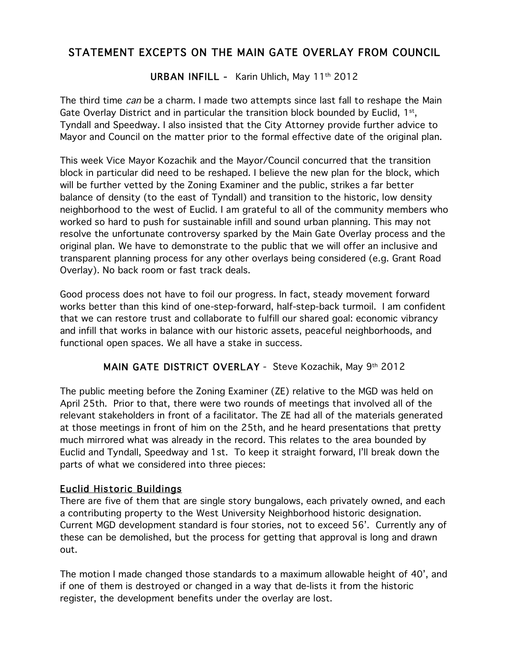# STATEMENT EXCEPTS ON THE MAIN GATE OVERLAY FROM COUNCIL

URBAN INFILL - Karin Uhlich, May 11<sup>th</sup> 2012

The third time can be a charm. I made two attempts since last fall to reshape the Main Gate Overlay District and in particular the transition block bounded by Euclid, 1<sup>st</sup>, Tyndall and Speedway. I also insisted that the City Attorney provide further advice to Mayor and Council on the matter prior to the formal effective date of the original plan.

This week Vice Mayor Kozachik and the Mayor/Council concurred that the transition block in particular did need to be reshaped. I believe the new plan for the block, which will be further vetted by the Zoning Examiner and the public, strikes a far better balance of density (to the east of Tyndall) and transition to the historic, low density neighborhood to the west of Euclid. I am grateful to all of the community members who worked so hard to push for sustainable infill and sound urban planning. This may not resolve the unfortunate controversy sparked by the Main Gate Overlay process and the original plan. We have to demonstrate to the public that we will offer an inclusive and transparent planning process for any other overlays being considered (e.g. Grant Road Overlay). No back room or fast track deals.

Good process does not have to foil our progress. In fact, steady movement forward works better than this kind of one-step-forward, half-step-back turmoil. I am confident that we can restore trust and collaborate to fulfill our shared goal: economic vibrancy and infill that works in balance with our historic assets, peaceful neighborhoods, and functional open spaces. We all have a stake in success.

## MAIN GATE DISTRICT OVERLAY - Steve Kozachik, May 9th 2012

The public meeting before the Zoning Examiner (ZE) relative to the MGD was held on April 25th. Prior to that, there were two rounds of meetings that involved all of the relevant stakeholders in front of a facilitator. The ZE had all of the materials generated at those meetings in front of him on the 25th, and he heard presentations that pretty much mirrored what was already in the record. This relates to the area bounded by Euclid and Tyndall, Speedway and 1st. To keep it straight forward, I'll break down the parts of what we considered into three pieces:

## Euclid Historic Buildings

There are five of them that are single story bungalows, each privately owned, and each a contributing property to the West University Neighborhood historic designation. Current MGD development standard is four stories, not to exceed 56'. Currently any of these can be demolished, but the process for getting that approval is long and drawn out.

The motion I made changed those standards to a maximum allowable height of 40', and if one of them is destroyed or changed in a way that de-lists it from the historic register, the development benefits under the overlay are lost.